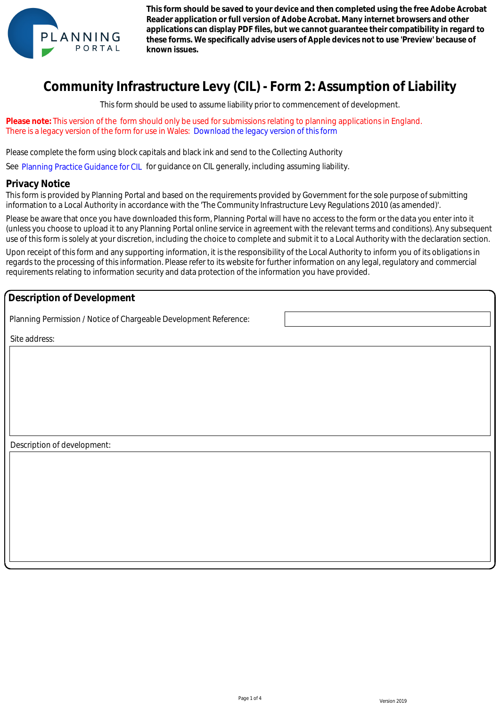

**This form should be saved to your device and then completed using the free Adobe Acrobat Reader application or full version of Adobe Acrobat. Many internet browsers and other applications can display PDF files, but we cannot guarantee their compatibility in regard to these forms. We specifically advise users of Apple devices not to use 'Preview' because of known issues.** 

# **Community Infrastructure Levy (CIL) - Form 2: Assumption of Liability**

This form should be used to assume liability prior to commencement of development.

**Please note:** This version of the form should only be used for submissions relating to planning applications in England. There is a legacy version of the form for use in Wales: Download the legacy version of this form

Please complete the form using block capitals and black ink and send to the Collecting Authority e is a legacy version of the form for use in Wales: Download the legacy version of this form<br>se complete the form using block capitals and black ink and send to the Collecting Authorit<br>Planning Practice Guidance for CIL

See Planning Practice Guidance for CIL for guidance on CIL generally, including assuming liability.

#### **Privacy Notice**

This form is provided by Planning Portal and based on the requirements provided by Government for the sole purpose of submitting information to a Local Authority in accordance with the 'The Community Infrastructure Levy Regulations 2010 (as amended)'.

Please be aware that once you have downloaded this form, Planning Portal will have no access to the form or the data you enter into it (unless you choose to upload it to any Planning Portal online service in agreement with the relevant terms and conditions). Any subsequent use of this form is solely at your discretion, including the choice to complete and submit it to a Local Authority with the declaration section.

Upon receipt of this form and any supporting information, it is the responsibility of the Local Authority to inform you of its obligations in regards to the processing of this information. Please refer to its website for further information on any legal, regulatory and commercial requirements relating to information security and data protection of the information you have provided.

#### **Description of Development**

Planning Permission / Notice of Chargeable Development Reference:

Site address:

Description of development: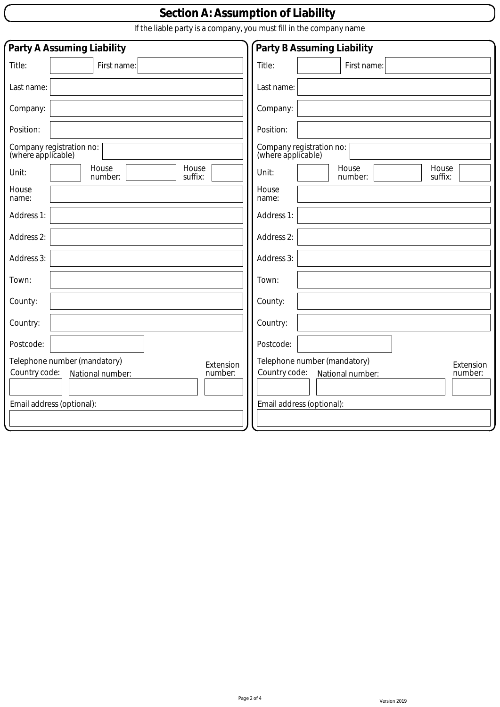## **Section A: Assumption of Liability**

If the liable party is a company, you must fill in the company name

| Party A Assuming Liability<br>Party B Assuming Liability                                                               |                                                                                                                        |  |
|------------------------------------------------------------------------------------------------------------------------|------------------------------------------------------------------------------------------------------------------------|--|
| Title:<br>First name:                                                                                                  | Title:<br>First name:                                                                                                  |  |
| Last name:                                                                                                             | Last name:                                                                                                             |  |
| Company:                                                                                                               | Company:                                                                                                               |  |
| Position:                                                                                                              | Position:                                                                                                              |  |
| Company registration no:<br>(where applicable)                                                                         | Company registration no:<br>(where applicable)                                                                         |  |
| House<br>House<br>Unit:<br>suffix:<br>number:                                                                          | House<br>House<br>Unit:<br>suffix:<br>number:                                                                          |  |
| House<br>name:                                                                                                         | House<br>name:                                                                                                         |  |
| Address 1:                                                                                                             | Address 1:                                                                                                             |  |
| Address 2:                                                                                                             | Address 2:                                                                                                             |  |
| Address 3:                                                                                                             | Address 3:                                                                                                             |  |
| Town:                                                                                                                  | Town:                                                                                                                  |  |
| County:                                                                                                                | County:                                                                                                                |  |
| Country:                                                                                                               | Country:                                                                                                               |  |
| Postcode:                                                                                                              | Postcode:                                                                                                              |  |
| Telephone number (mandatory)<br>Extension<br>Country code:<br>number:<br>National number:<br>Email address (optional): | Telephone number (mandatory)<br>Extension<br>Country code:<br>National number:<br>number:<br>Email address (optional): |  |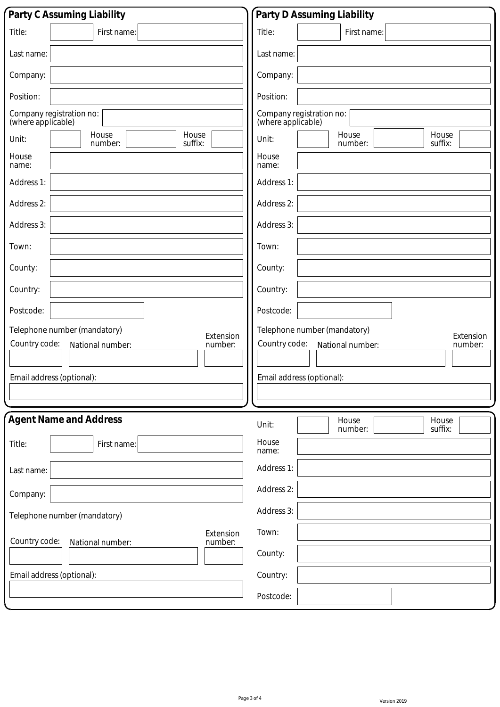| Party C Assuming Liability                                                                                             | Party D Assuming Liability                                                                                             |  |  |
|------------------------------------------------------------------------------------------------------------------------|------------------------------------------------------------------------------------------------------------------------|--|--|
| Title:<br>First name:                                                                                                  | Title:<br>First name:                                                                                                  |  |  |
| Last name:                                                                                                             | Last name:                                                                                                             |  |  |
| Company:                                                                                                               | Company:                                                                                                               |  |  |
| Position:                                                                                                              | Position:                                                                                                              |  |  |
| Company registration no:<br>(where applicable)                                                                         | Company registration no:<br>(where applicable)                                                                         |  |  |
| House<br>House<br>Unit:<br>suffix:<br>number:                                                                          | House<br>House<br>Unit:<br>suffix:<br>number:                                                                          |  |  |
| House<br>name:                                                                                                         | House<br>name:                                                                                                         |  |  |
| Address 1:                                                                                                             | Address 1:                                                                                                             |  |  |
| Address 2:                                                                                                             | Address 2:                                                                                                             |  |  |
| Address 3:                                                                                                             | Address 3:                                                                                                             |  |  |
| Town:                                                                                                                  | Town:                                                                                                                  |  |  |
| County:                                                                                                                | County:                                                                                                                |  |  |
| Country:                                                                                                               | Country:                                                                                                               |  |  |
| Postcode:                                                                                                              | Postcode:                                                                                                              |  |  |
| Telephone number (mandatory)<br>Extension<br>Country code:<br>number:<br>National number:<br>Email address (optional): | Telephone number (mandatory)<br>Extension<br>Country code:<br>number:<br>National number:<br>Email address (optional): |  |  |
|                                                                                                                        |                                                                                                                        |  |  |
| <b>Agent Name and Address</b>                                                                                          | House<br>House<br>Unit:<br>suffix:<br>number:                                                                          |  |  |
| Title:<br>First name:                                                                                                  | House<br>name:                                                                                                         |  |  |
| Last name:                                                                                                             | Address 1:                                                                                                             |  |  |
| Company:                                                                                                               | Address 2:                                                                                                             |  |  |
| Telephone number (mandatory)                                                                                           | Address 3:                                                                                                             |  |  |
| Extension<br>Country code:<br>number:<br>National number:                                                              | Town:                                                                                                                  |  |  |
|                                                                                                                        | County:                                                                                                                |  |  |
| Email address (optional):                                                                                              | Country:                                                                                                               |  |  |
|                                                                                                                        | Postcode:                                                                                                              |  |  |

 $\overline{\mathcal{L}}$ 

 $\overline{\mathcal{L}}$